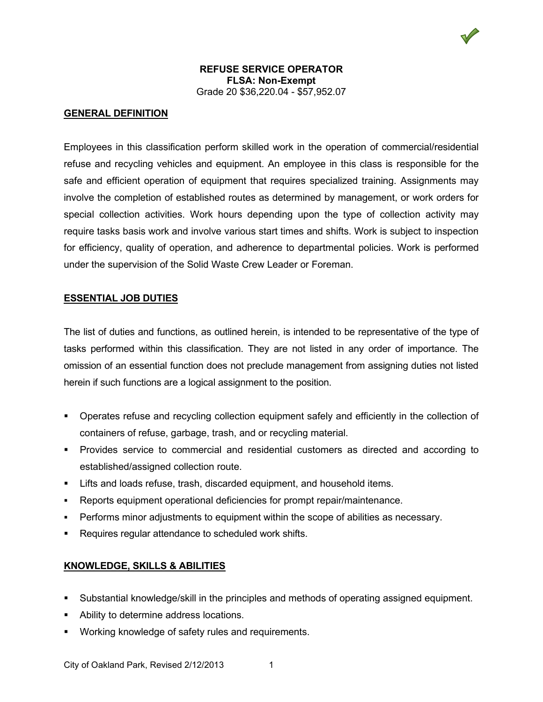

#### **REFUSE SERVICE OPERATOR FLSA: Non-Exempt** Grade 20 \$36,220.04 - \$57,952.07

# **GENERAL DEFINITION**

Employees in this classification perform skilled work in the operation of commercial/residential refuse and recycling vehicles and equipment. An employee in this class is responsible for the safe and efficient operation of equipment that requires specialized training. Assignments may involve the completion of established routes as determined by management, or work orders for special collection activities. Work hours depending upon the type of collection activity may require tasks basis work and involve various start times and shifts. Work is subject to inspection for efficiency, quality of operation, and adherence to departmental policies. Work is performed under the supervision of the Solid Waste Crew Leader or Foreman.

#### **ESSENTIAL JOB DUTIES**

The list of duties and functions, as outlined herein, is intended to be representative of the type of tasks performed within this classification. They are not listed in any order of importance. The omission of an essential function does not preclude management from assigning duties not listed herein if such functions are a logical assignment to the position.

- Operates refuse and recycling collection equipment safely and efficiently in the collection of containers of refuse, garbage, trash, and or recycling material.
- Provides service to commercial and residential customers as directed and according to established/assigned collection route.
- **EXTER** 1.1 Lifts and loads refuse, trash, discarded equipment, and household items.
- Reports equipment operational deficiencies for prompt repair/maintenance.
- Performs minor adjustments to equipment within the scope of abilities as necessary.
- Requires regular attendance to scheduled work shifts.

## **KNOWLEDGE, SKILLS & ABILITIES**

- Substantial knowledge/skill in the principles and methods of operating assigned equipment.
- Ability to determine address locations.
- Working knowledge of safety rules and requirements.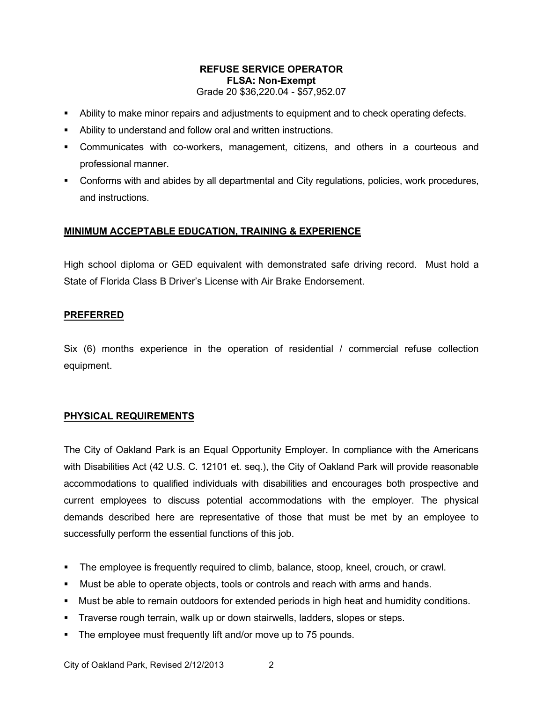## **REFUSE SERVICE OPERATOR FLSA: Non-Exempt** Grade 20 \$36,220.04 - \$57,952.07

- Ability to make minor repairs and adjustments to equipment and to check operating defects.
- Ability to understand and follow oral and written instructions.
- Communicates with co-workers, management, citizens, and others in a courteous and professional manner.
- Conforms with and abides by all departmental and City regulations, policies, work procedures, and instructions.

# **MINIMUM ACCEPTABLE EDUCATION, TRAINING & EXPERIENCE**

High school diploma or GED equivalent with demonstrated safe driving record. Must hold a State of Florida Class B Driver's License with Air Brake Endorsement.

## **PREFERRED**

Six (6) months experience in the operation of residential / commercial refuse collection equipment.

# **PHYSICAL REQUIREMENTS**

The City of Oakland Park is an Equal Opportunity Employer. In compliance with the Americans with Disabilities Act (42 U.S. C. 12101 et. seq.), the City of Oakland Park will provide reasonable accommodations to qualified individuals with disabilities and encourages both prospective and current employees to discuss potential accommodations with the employer. The physical demands described here are representative of those that must be met by an employee to successfully perform the essential functions of this job.

- The employee is frequently required to climb, balance, stoop, kneel, crouch, or crawl.
- Must be able to operate objects, tools or controls and reach with arms and hands.
- Must be able to remain outdoors for extended periods in high heat and humidity conditions.
- Traverse rough terrain, walk up or down stairwells, ladders, slopes or steps.
- The employee must frequently lift and/or move up to 75 pounds.